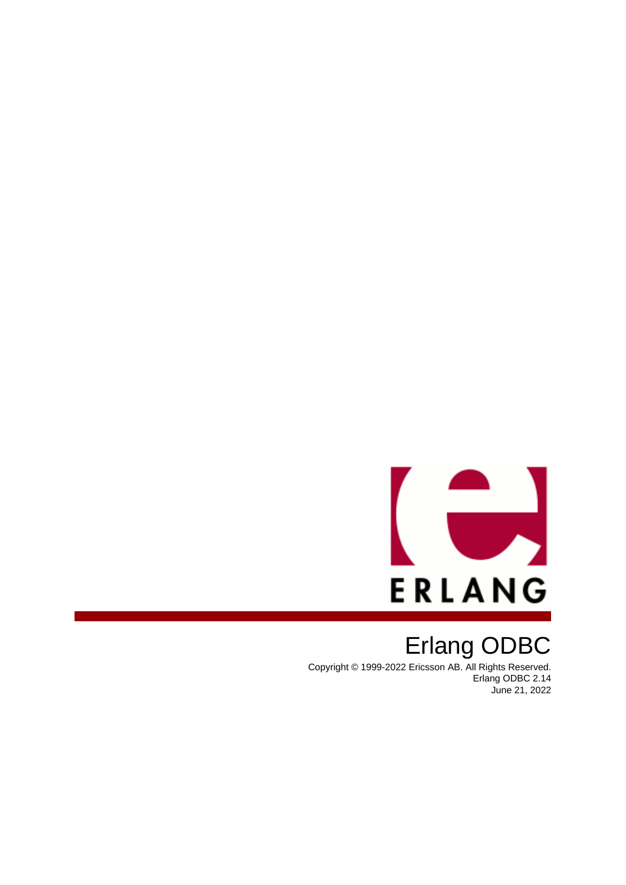

# Erlang ODBC

Copyright © 1999-2022 Ericsson AB. All Rights Reserved. Erlang ODBC 2.14 June 21, 2022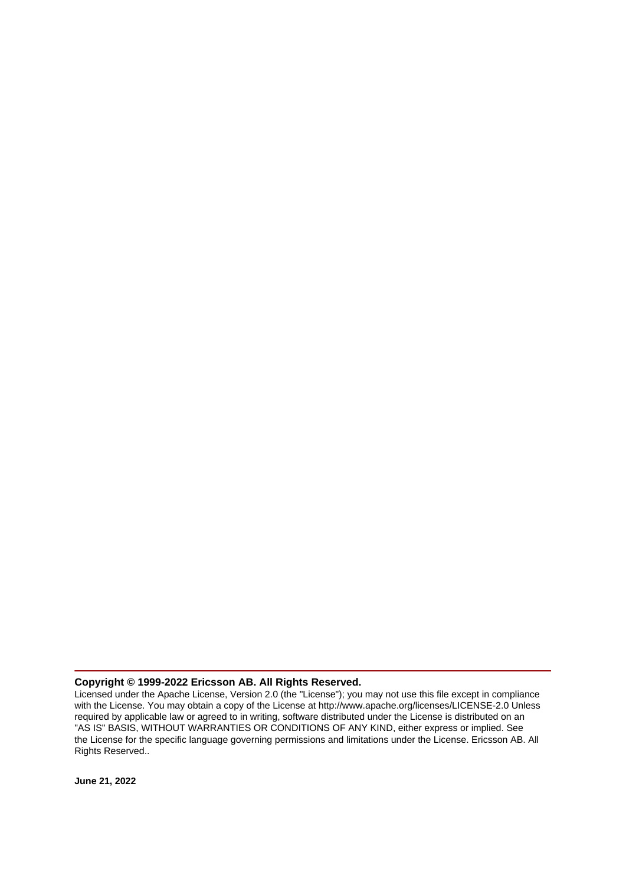#### **Copyright © 1999-2022 Ericsson AB. All Rights Reserved.**

Licensed under the Apache License, Version 2.0 (the "License"); you may not use this file except in compliance with the License. You may obtain a copy of the License at http://www.apache.org/licenses/LICENSE-2.0 Unless required by applicable law or agreed to in writing, software distributed under the License is distributed on an "AS IS" BASIS, WITHOUT WARRANTIES OR CONDITIONS OF ANY KIND, either express or implied. See the License for the specific language governing permissions and limitations under the License. Ericsson AB. All Rights Reserved..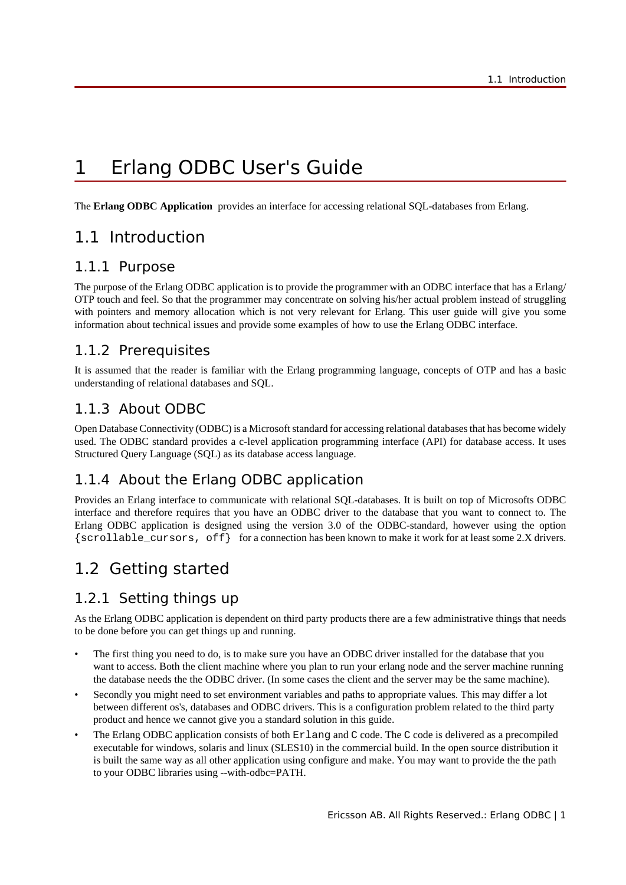# 1 Erlang ODBC User's Guide

The **Erlang ODBC Application** provides an interface for accessing relational SQL-databases from Erlang.

# 1.1 Introduction

# 1.1.1 Purpose

The purpose of the Erlang ODBC application is to provide the programmer with an ODBC interface that has a Erlang/ OTP touch and feel. So that the programmer may concentrate on solving his/her actual problem instead of struggling with pointers and memory allocation which is not very relevant for Erlang. This user guide will give you some information about technical issues and provide some examples of how to use the Erlang ODBC interface.

# 1.1.2 Prerequisites

It is assumed that the reader is familiar with the Erlang programming language, concepts of OTP and has a basic understanding of relational databases and SQL.

# 1.1.3 About ODBC

Open Database Connectivity (ODBC) is a Microsoft standard for accessing relational databases that has become widely used. The ODBC standard provides a c-level application programming interface (API) for database access. It uses Structured Query Language (SQL) as its database access language.

# 1.1.4 About the Erlang ODBC application

Provides an Erlang interface to communicate with relational SQL-databases. It is built on top of Microsofts ODBC interface and therefore requires that you have an ODBC driver to the database that you want to connect to. The Erlang ODBC application is designed using the version 3.0 of the ODBC-standard, however using the option {scrollable\_cursors, off} for a connection has been known to make it work for at least some 2.X drivers.

# 1.2 Getting started

# 1.2.1 Setting things up

As the Erlang ODBC application is dependent on third party products there are a few administrative things that needs to be done before you can get things up and running.

- The first thing you need to do, is to make sure you have an ODBC driver installed for the database that you want to access. Both the client machine where you plan to run your erlang node and the server machine running the database needs the the ODBC driver. (In some cases the client and the server may be the same machine).
- Secondly you might need to set environment variables and paths to appropriate values. This may differ a lot between different os's, databases and ODBC drivers. This is a configuration problem related to the third party product and hence we cannot give you a standard solution in this guide.
- The Erlang ODBC application consists of both Exlang and C code. The C code is delivered as a precompiled executable for windows, solaris and linux (SLES10) in the commercial build. In the open source distribution it is built the same way as all other application using configure and make. You may want to provide the the path to your ODBC libraries using --with-odbc=PATH.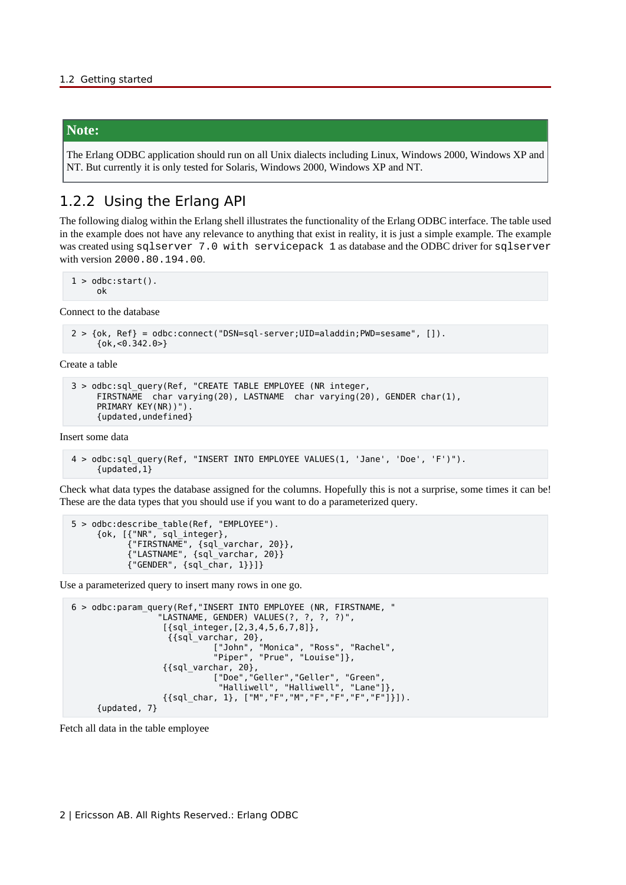#### **Note:**

The Erlang ODBC application should run on all Unix dialects including Linux, Windows 2000, Windows XP and NT. But currently it is only tested for Solaris, Windows 2000, Windows XP and NT.

### 1.2.2 Using the Erlang API

The following dialog within the Erlang shell illustrates the functionality of the Erlang ODBC interface. The table used in the example does not have any relevance to anything that exist in reality, it is just a simple example. The example was created using sqlserver 7.0 with servicepack 1 as database and the ODBC driver for sqlserver with version 2000.80.194.00.

 $1 >$  odbc: start(). ok

Connect to the database

```
 2 > {ok, Ref} = odbc:connect("DSN=sql-server;UID=aladdin;PWD=sesame", []).
      {ok,<0.342.0>}
```
Create a table

```
 3 > odbc:sql_query(Ref, "CREATE TABLE EMPLOYEE (NR integer,
     FIRSTNAME char varying(20), LASTNAME char varying(20), GENDER char(1),
      PRIMARY KEY(NR))").
      {updated,undefined}
```
Insert some data

```
 4 > odbc:sql_query(Ref, "INSERT INTO EMPLOYEE VALUES(1, 'Jane', 'Doe', 'F')").
      {updated,1}
```
Check what data types the database assigned for the columns. Hopefully this is not a surprise, some times it can be! These are the data types that you should use if you want to do a parameterized query.

```
 5 > odbc:describe_table(Ref, "EMPLOYEE").
      {ok, [{"NR", sql_integer},
 {"FIRSTNAME", {sql_varchar, 20}},
 {"LASTNAME", {sql_varchar, 20}}
           {"GENDER", {sql_char, 1}}]}
```
Use a parameterized query to insert many rows in one go.

```
 6 > odbc:param_query(Ref,"INSERT INTO EMPLOYEE (NR, FIRSTNAME, "
               "LASTNAME, GENDER) VALUES(?, ?, ?, ?)",
               [{sql_integer,[2,3,4,5,6,7,8]},
\{ \{ \mathsf{sql\_varchar} \,,\ \mathsf{20} \},\ ["John", "Monica", "Ross", "Rachel",
 "Piper", "Prue", "Louise"]},
               {{sql_varchar, 20},
 ["Doe","Geller","Geller", "Green",
 "Halliwell", "Halliwell", "Lane"]},
 {{sql_char, 1}, ["M","F","M","F","F","F","F"]}]).
     {updated, 7}
```
Fetch all data in the table employee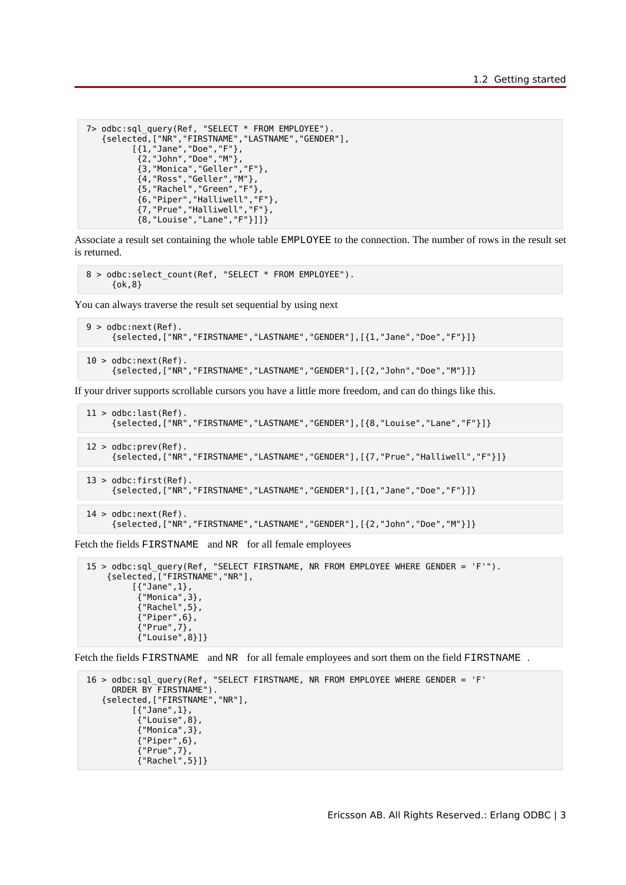```
 7> odbc:sql_query(Ref, "SELECT * FROM EMPLOYEE").
 {selected,["NR","FIRSTNAME","LASTNAME","GENDER"],
 [{1,"Jane","Doe","F"},
 {2,"John","Doe","M"},
 {3,"Monica","Geller","F"},
          {4,"Ross","Geller","M"},
 {5,"Rachel","Green","F"},
 {6,"Piper","Halliwell","F"},
 {7,"Prue","Halliwell","F"},
          {8,"Louise","Lane","F"}]]}
```
Associate a result set containing the whole table EMPLOYEE to the connection. The number of rows in the result set is returned.

```
8 > odbc:select count(Ref, "SELECT * FROM EMPLOYEE").
      {ok,8}
```
You can always traverse the result set sequential by using next

```
 9 > odbc:next(Ref).
      {selected,["NR","FIRSTNAME","LASTNAME","GENDER"],[{1,"Jane","Doe","F"}]}
```
 $10$  > odbc:next(Ref). {selected,["NR","FIRSTNAME","LASTNAME","GENDER"],[{2,"John","Doe","M"}]}

If your driver supports scrollable cursors you have a little more freedom, and can do things like this.

```
11 > odbc: last (Ref).
      {selected,["NR","FIRSTNAME","LASTNAME","GENDER"],[{8,"Louise","Lane","F"}]} 
 12 > odbc:prev(Ref).
      {selected,["NR","FIRSTNAME","LASTNAME","GENDER"],[{7,"Prue","Halliwell","F"}]} 
13 > odbc: first(Ref).
      {selected,["NR","FIRSTNAME","LASTNAME","GENDER"],[{1,"Jane","Doe","F"}]} 
14 > odbc:next(Ref).
      {selected,["NR","FIRSTNAME","LASTNAME","GENDER"],[{2,"John","Doe","M"}]}
```
Fetch the fields FIRSTNAME and NR for all female employees

```
 15 > odbc:sql_query(Ref, "SELECT FIRSTNAME, NR FROM EMPLOYEE WHERE GENDER = 'F'").
     {selected,["FIRSTNAME","NR"],
[ \{ "Jane" , 1} ,
 {"Monica",3},
 {"Rachel",5},
          {^{\circ}}Piper",6},
           {"Prue",7},
           {"Louise",8}]}
```
Fetch the fields FIRSTNAME and NR for all female employees and sort them on the field FIRSTNAME .

```
 16 > odbc:sql_query(Ref, "SELECT FIRSTNAME, NR FROM EMPLOYEE WHERE GENDER = 'F'
 ORDER BY FIRSTNAME").
    {selected,["FIRSTNAME","NR"],
          [{"Jane",1},
 {"Louise",8},
 {"Monica",3},
           {"Piper",6},
           {"Prue",7},
           {"Rachel",5}]}
```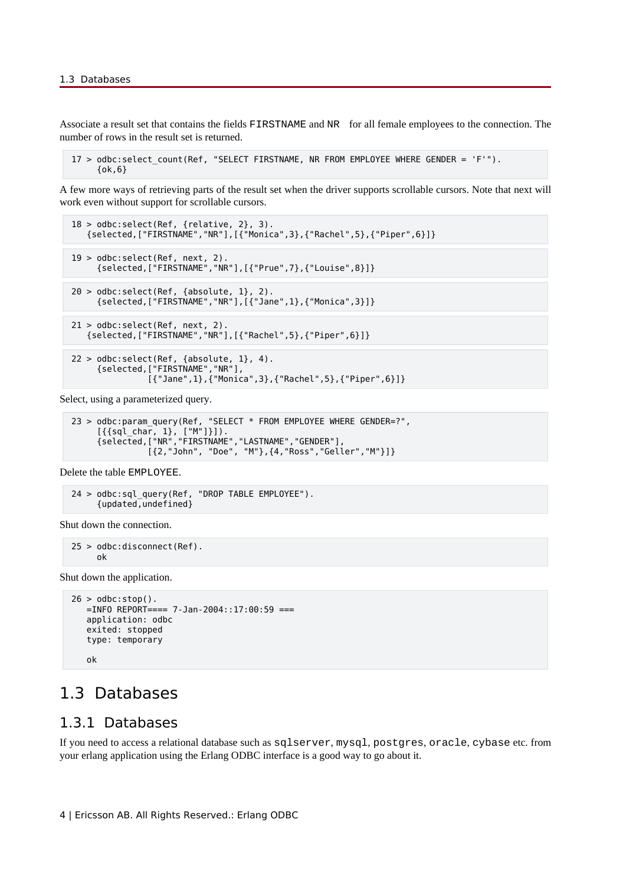Associate a result set that contains the fields FIRSTNAME and NR for all female employees to the connection. The number of rows in the result set is returned.

17 > odbc:select count(Ref, "SELECT FIRSTNAME, NR FROM EMPLOYEE WHERE GENDER = 'F'").  $\{ok, 6\}$ 

A few more ways of retrieving parts of the result set when the driver supports scrollable cursors. Note that next will work even without support for scrollable cursors.

```
 18 > odbc:select(Ref, {relative, 2}, 3).
 {selected,["FIRSTNAME","NR"],[{"Monica",3},{"Rachel",5},{"Piper",6}]}
 19 > odbc:select(Ref, next, 2).
      {selected,["FIRSTNAME","NR"],[{"Prue",7},{"Louise",8}]}
20 > odbc:select(Ref, {absolute, 1}, 2).
      {selected,["FIRSTNAME","NR"],[{"Jane",1},{"Monica",3}]}
 21 > odbc:select(Ref, next, 2).
 {selected,["FIRSTNAME","NR"],[{"Rachel",5},{"Piper",6}]}
22 > odbc:select(Ref, {absolute, 1}, 4).
      {selected,["FIRSTNAME","NR"],
```
Select, using a parameterized query.

```
23 > odbc:param_query(Ref, "SELECT * FROM EMPLOYEE WHERE GENDER=?",
 [{{sql_char, 1}, ["M"]}]).
 {selected,["NR","FIRSTNAME","LASTNAME","GENDER"],
                [{2,"John", "Doe", "M"},{4,"Ross","Geller","M"}]}
```
[{"Jane",1},{"Monica",3},{"Rachel",5},{"Piper",6}]}

Delete the table EMPLOYEE.

```
 24 > odbc:sql_query(Ref, "DROP TABLE EMPLOYEE").
      {updated,undefined}
```
Shut down the connection.

```
 25 > odbc:disconnect(Ref).
      ok
```
Shut down the application.

```
26 > odbc:stop().
   =INFO REPORT==== 7-Jan-2004::17:00:59 ===
   application: odbc
   exited: stopped
   type: temporary
    ok
```
# 1.3 Databases

### 1.3.1 Databases

If you need to access a relational database such as sqlserver, mysql, postgres, oracle, cybase etc. from your erlang application using the Erlang ODBC interface is a good way to go about it.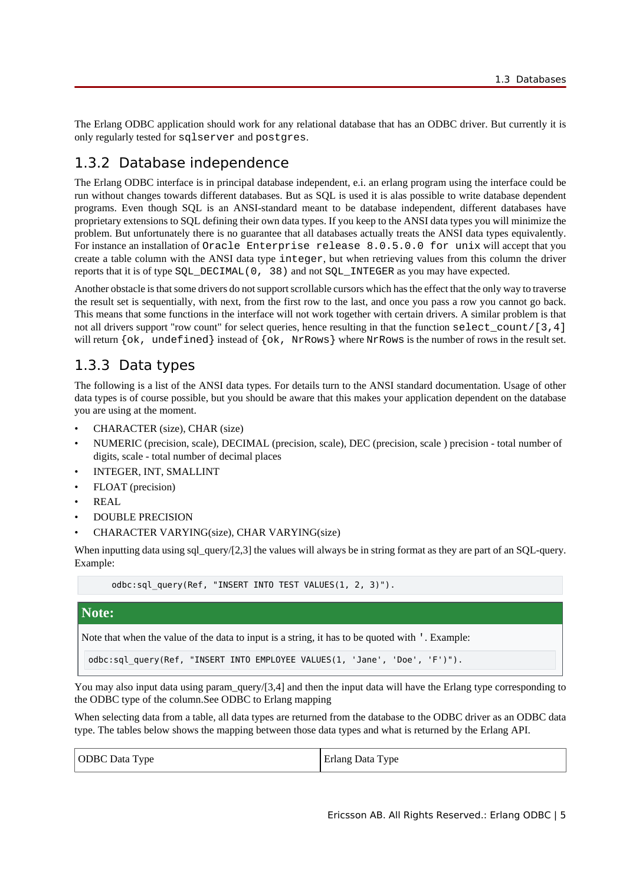The Erlang ODBC application should work for any relational database that has an ODBC driver. But currently it is only regularly tested for sqlserver and postgres.

# 1.3.2 Database independence

The Erlang ODBC interface is in principal database independent, e.i. an erlang program using the interface could be run without changes towards different databases. But as SQL is used it is alas possible to write database dependent programs. Even though SQL is an ANSI-standard meant to be database independent, different databases have proprietary extensions to SQL defining their own data types. If you keep to the ANSI data types you will minimize the problem. But unfortunately there is no guarantee that all databases actually treats the ANSI data types equivalently. For instance an installation of Oracle Enterprise release 8.0.5.0.0 for unix will accept that you create a table column with the ANSI data type integer, but when retrieving values from this column the driver reports that it is of type SQL\_DECIMAL(0, 38) and not SQL\_INTEGER as you may have expected.

Another obstacle is that some drivers do not support scrollable cursors which has the effect that the only way to traverse the result set is sequentially, with next, from the first row to the last, and once you pass a row you cannot go back. This means that some functions in the interface will not work together with certain drivers. A similar problem is that not all drivers support "row count" for select queries, hence resulting in that the function select count/[3,4] will return  $\{\circ k, \text{ undergo the value of } \{\circ k, \text{ NrRows} \}$  where NrRows is the number of rows in the result set.

# 1.3.3 Data types

The following is a list of the ANSI data types. For details turn to the ANSI standard documentation. Usage of other data types is of course possible, but you should be aware that this makes your application dependent on the database you are using at the moment.

- CHARACTER (size), CHAR (size)
- NUMERIC (precision, scale), DECIMAL (precision, scale), DEC (precision, scale ) precision total number of digits, scale - total number of decimal places
- INTEGER, INT, SMALLINT
- FLOAT (precision)
- REAL
- DOUBLE PRECISION
- CHARACTER VARYING(size), CHAR VARYING(size)

When inputting data using sql\_query/[2,3] the values will always be in string format as they are part of an SQL-query. Example:

```
 odbc:sql_query(Ref, "INSERT INTO TEST VALUES(1, 2, 3)").
```
#### **Note:**

Note that when the value of the data to input is a string, it has to be quoted with '. Example:

```
odbc:sql_query(Ref, "INSERT INTO EMPLOYEE VALUES(1, 'Jane', 'Doe', 'F')").
```
You may also input data using param\_query/[3,4] and then the input data will have the Erlang type corresponding to the ODBC type of the column.See ODBC to Erlang mapping

When selecting data from a table, all data types are returned from the database to the ODBC driver as an ODBC data type. The tables below shows the mapping between those data types and what is returned by the Erlang API.

| <b>ODBC</b> Data Type | Erlang Data Type |
|-----------------------|------------------|
|-----------------------|------------------|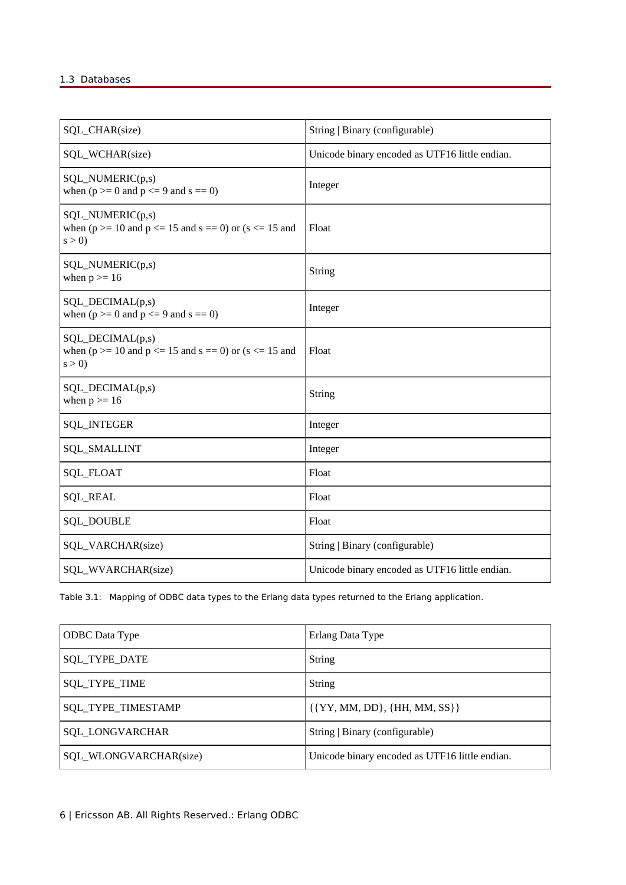#### 1.3 Databases

| SQL_CHAR(size)                                                                                  | String   Binary (configurable)                 |
|-------------------------------------------------------------------------------------------------|------------------------------------------------|
| SQL_WCHAR(size)                                                                                 | Unicode binary encoded as UTF16 little endian. |
| SQL_NUMERIC(p,s)<br>when $(p \ge 0$ and $p \le 9$ and $s == 0$ )                                | Integer                                        |
| SQL_NUMERIC(p,s)<br>when ( $p \ge 10$ and $p \le 15$ and $s = 0$ ) or ( $s \le 15$ and<br>s > 0 | Float                                          |
| SQL_NUMERIC(p,s)<br>when $p \geq 16$                                                            | String                                         |
| SQL_DECIMAL(p,s)<br>when $(p \ge 0$ and $p \le 9$ and $s = 0$ )                                 | Integer                                        |
| SQL_DECIMAL(p,s)<br>when ( $p \ge 10$ and $p \le 15$ and $s = 0$ ) or ( $s \le 15$ and<br>s > 0 | Float                                          |
| SQL_DECIMAL(p,s)<br>when $p \ge 16$                                                             | String                                         |
| <b>SQL_INTEGER</b>                                                                              | Integer                                        |
| <b>SQL_SMALLINT</b>                                                                             | Integer                                        |
| SQL_FLOAT                                                                                       | Float                                          |
| <b>SQL_REAL</b>                                                                                 | Float                                          |
| <b>SQL_DOUBLE</b>                                                                               | Float                                          |
| SQL_VARCHAR(size)                                                                               | String   Binary (configurable)                 |
| SQL_WVARCHAR(size)                                                                              | Unicode binary encoded as UTF16 little endian. |

Table 3.1: Mapping of ODBC data types to the Erlang data types returned to the Erlang application.

| <b>ODBC</b> Data Type  | Erlang Data Type                               |
|------------------------|------------------------------------------------|
| SQL_TYPE_DATE          | String                                         |
| <b>SQL_TYPE_TIME</b>   | String                                         |
| SQL_TYPE_TIMESTAMP     | $\{\{YY, MM, DD\}, \{HH, MM, SS\}\}\$          |
| SQL_LONGVARCHAR        | String   Binary (configurable)                 |
| SQL_WLONGVARCHAR(size) | Unicode binary encoded as UTF16 little endian. |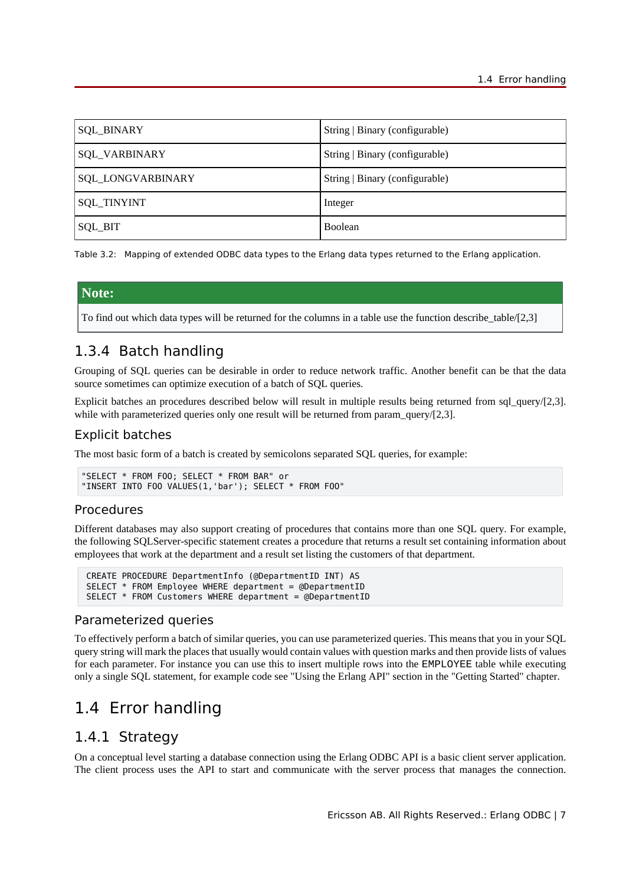| <b>SQL_BINARY</b> | String   Binary (configurable) |
|-------------------|--------------------------------|
| SQL_VARBINARY     | String   Binary (configurable) |
| SQL_LONGVARBINARY | String   Binary (configurable) |
| SQL_TINYINT       | Integer                        |
| SQL_BIT           | Boolean                        |

Table 3.2: Mapping of extended ODBC data types to the Erlang data types returned to the Erlang application.

#### **Note:**

To find out which data types will be returned for the columns in a table use the function describe\_table/[2,3]

# 1.3.4 Batch handling

Grouping of SQL queries can be desirable in order to reduce network traffic. Another benefit can be that the data source sometimes can optimize execution of a batch of SQL queries.

Explicit batches an procedures described below will result in multiple results being returned from sql query/[2,3]. while with parameterized queries only one result will be returned from param\_query/[2,3].

### Explicit batches

The most basic form of a batch is created by semicolons separated SQL queries, for example:

```
"SELECT * FROM FOO; SELECT * FROM BAR" or
"INSERT INTO FOO VALUES(1,'bar'); SELECT * FROM FOO"
```
#### Procedures

Different databases may also support creating of procedures that contains more than one SQL query. For example, the following SQLServer-specific statement creates a procedure that returns a result set containing information about employees that work at the department and a result set listing the customers of that department.

```
 CREATE PROCEDURE DepartmentInfo (@DepartmentID INT) AS
 SELECT * FROM Employee WHERE department = @DepartmentID
 SELECT * FROM Customers WHERE department = @DepartmentID
```
#### Parameterized queries

To effectively perform a batch of similar queries, you can use parameterized queries. This means that you in your SQL query string will mark the places that usually would contain values with question marks and then provide lists of values for each parameter. For instance you can use this to insert multiple rows into the EMPLOYEE table while executing only a single SQL statement, for example code see "Using the Erlang API" section in the "Getting Started" chapter.

# 1.4 Error handling

### 1.4.1 Strategy

On a conceptual level starting a database connection using the Erlang ODBC API is a basic client server application. The client process uses the API to start and communicate with the server process that manages the connection.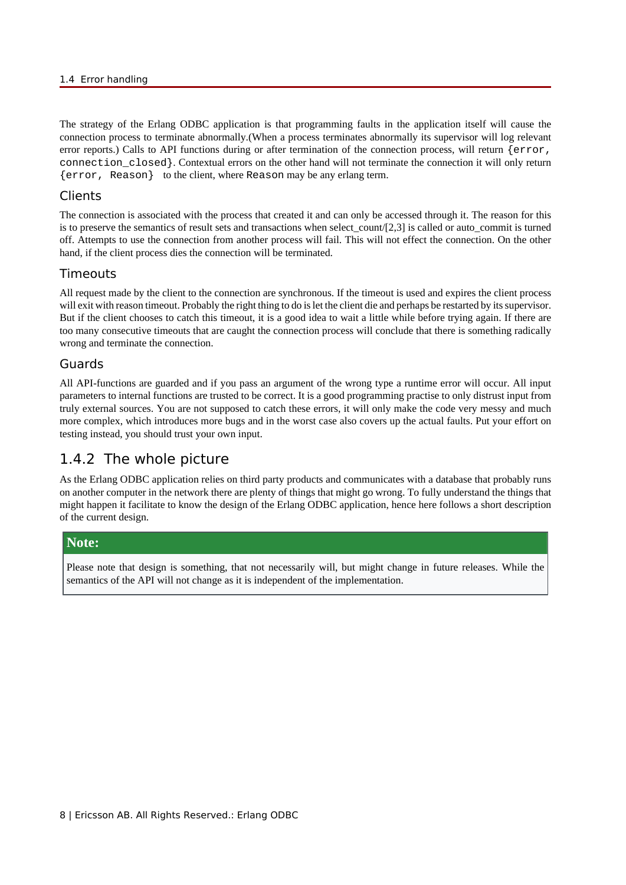#### 1.4 Error handling

The strategy of the Erlang ODBC application is that programming faults in the application itself will cause the connection process to terminate abnormally.(When a process terminates abnormally its supervisor will log relevant error reports.) Calls to API functions during or after termination of the connection process, will return {error, connection\_closed}. Contextual errors on the other hand will not terminate the connection it will only return {error, Reason} to the client, where Reason may be any erlang term.

### **Clients**

The connection is associated with the process that created it and can only be accessed through it. The reason for this is to preserve the semantics of result sets and transactions when select count/ $[2,3]$  is called or auto-commit is turned off. Attempts to use the connection from another process will fail. This will not effect the connection. On the other hand, if the client process dies the connection will be terminated.

### Timeouts

All request made by the client to the connection are synchronous. If the timeout is used and expires the client process will exit with reason timeout. Probably the right thing to do is let the client die and perhaps be restarted by its supervisor. But if the client chooses to catch this timeout, it is a good idea to wait a little while before trying again. If there are too many consecutive timeouts that are caught the connection process will conclude that there is something radically wrong and terminate the connection.

### Guards

All API-functions are guarded and if you pass an argument of the wrong type a runtime error will occur. All input parameters to internal functions are trusted to be correct. It is a good programming practise to only distrust input from truly external sources. You are not supposed to catch these errors, it will only make the code very messy and much more complex, which introduces more bugs and in the worst case also covers up the actual faults. Put your effort on testing instead, you should trust your own input.

# 1.4.2 The whole picture

As the Erlang ODBC application relies on third party products and communicates with a database that probably runs on another computer in the network there are plenty of things that might go wrong. To fully understand the things that might happen it facilitate to know the design of the Erlang ODBC application, hence here follows a short description of the current design.

### **Note:**

Please note that design is something, that not necessarily will, but might change in future releases. While the semantics of the API will not change as it is independent of the implementation.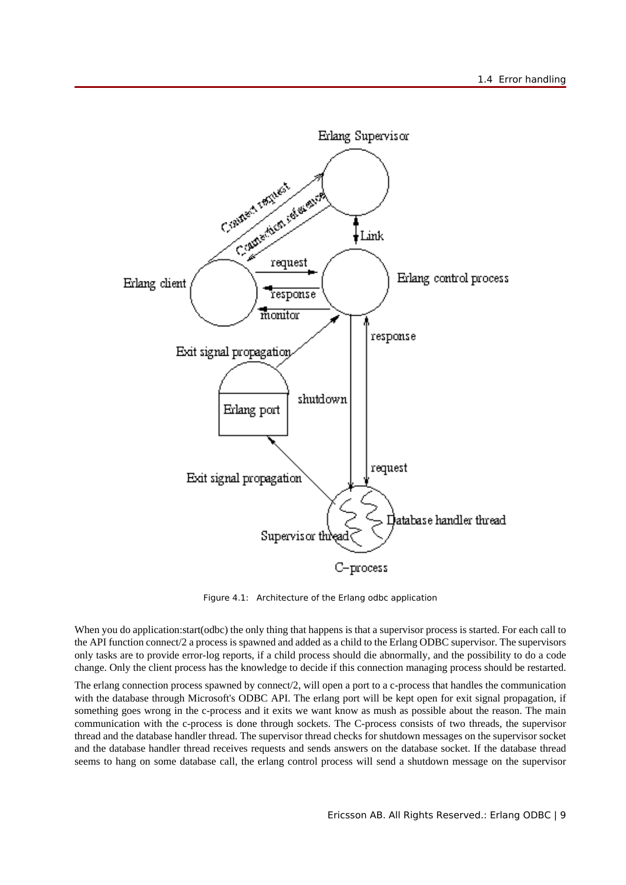

Figure 4.1: Architecture of the Erlang odbc application

When you do application:start(odbc) the only thing that happens is that a supervisor process is started. For each call to the API function connect/2 a process is spawned and added as a child to the Erlang ODBC supervisor. The supervisors only tasks are to provide error-log reports, if a child process should die abnormally, and the possibility to do a code change. Only the client process has the knowledge to decide if this connection managing process should be restarted.

The erlang connection process spawned by connect/2, will open a port to a c-process that handles the communication with the database through Microsoft's ODBC API. The erlang port will be kept open for exit signal propagation, if something goes wrong in the c-process and it exits we want know as mush as possible about the reason. The main communication with the c-process is done through sockets. The C-process consists of two threads, the supervisor thread and the database handler thread. The supervisor thread checks for shutdown messages on the supervisor socket and the database handler thread receives requests and sends answers on the database socket. If the database thread seems to hang on some database call, the erlang control process will send a shutdown message on the supervisor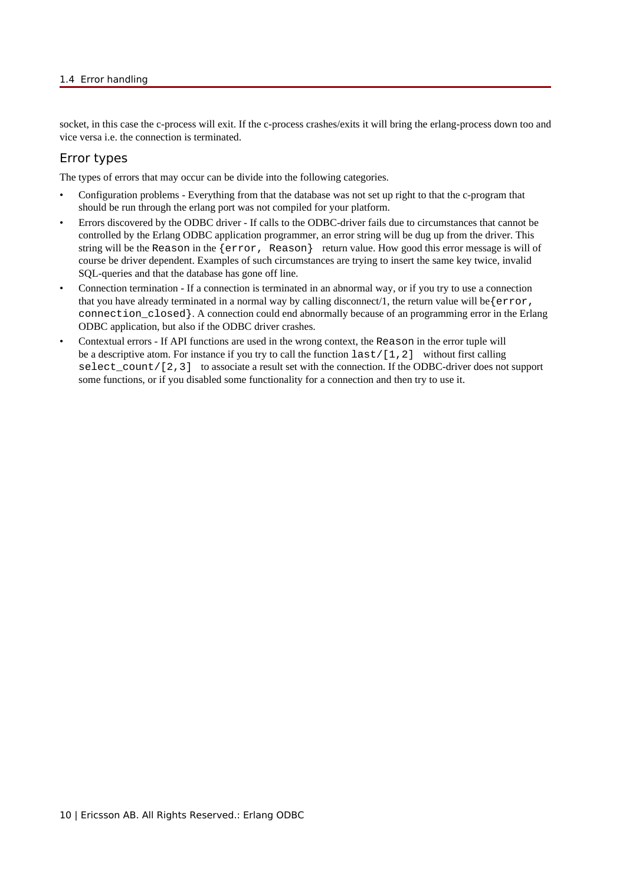#### 1.4 Error handling

socket, in this case the c-process will exit. If the c-process crashes/exits it will bring the erlang-process down too and vice versa i.e. the connection is terminated.

### Error types

The types of errors that may occur can be divide into the following categories.

- Configuration problems Everything from that the database was not set up right to that the c-program that should be run through the erlang port was not compiled for your platform.
- Errors discovered by the ODBC driver If calls to the ODBC-driver fails due to circumstances that cannot be controlled by the Erlang ODBC application programmer, an error string will be dug up from the driver. This string will be the Reason in the {error, Reason} return value. How good this error message is will of course be driver dependent. Examples of such circumstances are trying to insert the same key twice, invalid SQL-queries and that the database has gone off line.
- Connection termination If a connection is terminated in an abnormal way, or if you try to use a connection that you have already terminated in a normal way by calling disconnect/1, the return value will be { $\epsilon$ r $\epsilon$ ror, connection\_closed}. A connection could end abnormally because of an programming error in the Erlang ODBC application, but also if the ODBC driver crashes.
- Contextual errors If API functions are used in the wrong context, the Reason in the error tuple will be a descriptive atom. For instance if you try to call the function  $last/[1,2]$  without first calling select\_count/[2,3] to associate a result set with the connection. If the ODBC-driver does not support some functions, or if you disabled some functionality for a connection and then try to use it.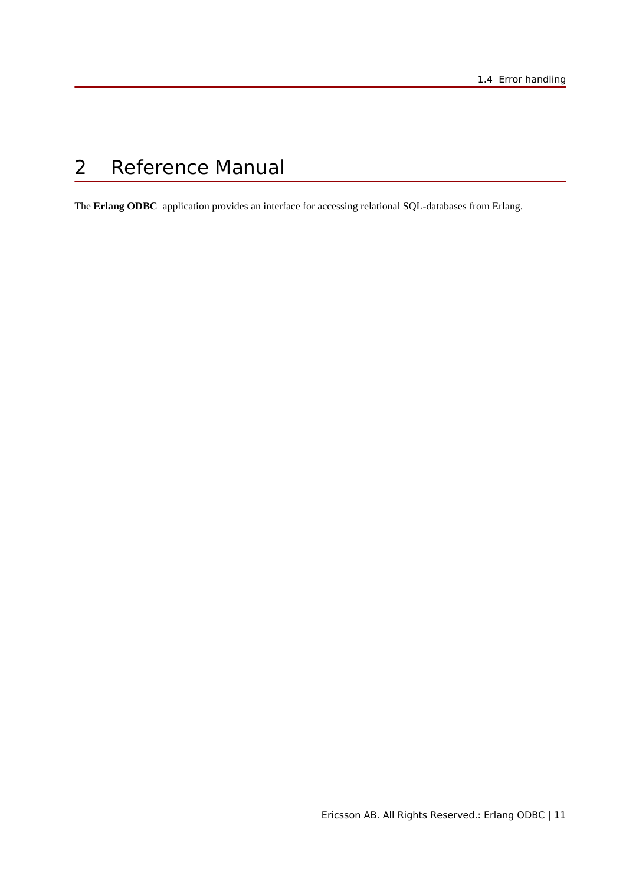# 2 Reference Manual

The **Erlang ODBC** application provides an interface for accessing relational SQL-databases from Erlang.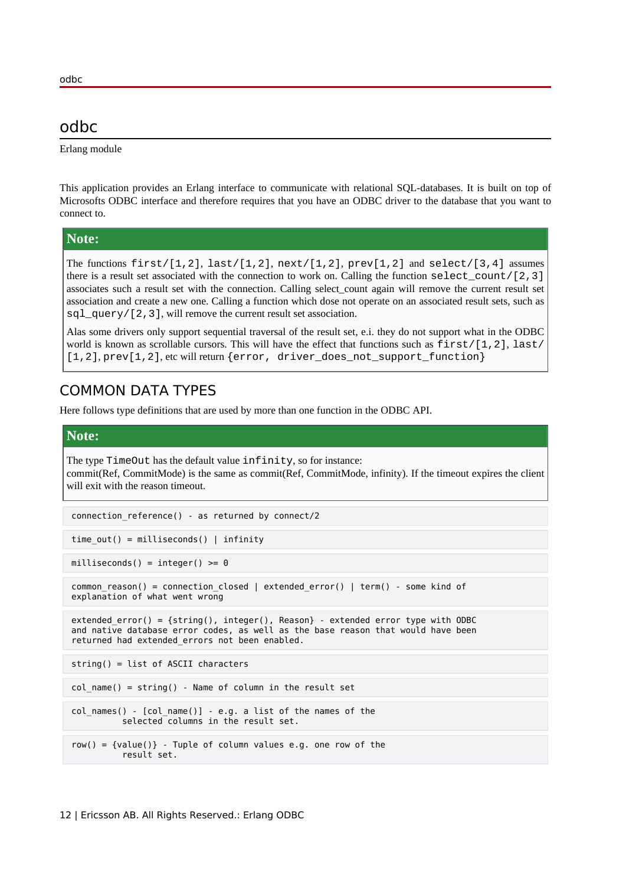# odbc

Erlang module

This application provides an Erlang interface to communicate with relational SQL-databases. It is built on top of Microsofts ODBC interface and therefore requires that you have an ODBC driver to the database that you want to connect to.

#### **Note:**

The functions  $first/[1,2]$ ,  $last/[1,2]$ ,  $next/[1,2]$ ,  $prev[1,2]$  and  $select/[3,4]$  assumes there is a result set associated with the connection to work on. Calling the function select\_count/[2,3] associates such a result set with the connection. Calling select\_count again will remove the current result set association and create a new one. Calling a function which dose not operate on an associated result sets, such as sql\_query/[2,3], will remove the current result set association.

Alas some drivers only support sequential traversal of the result set, e.i. they do not support what in the ODBC world is known as scrollable cursors. This will have the effect that functions such as  $first/[1,2]$ , last/  $[1,2], prev[1,2], etc$  will return {error, driver does not support function}

# COMMON DATA TYPES

Here follows type definitions that are used by more than one function in the ODBC API.

#### **Note:**

The type TimeOut has the default value infinity, so for instance: commit(Ref, CommitMode) is the same as commit(Ref, CommitMode, infinity). If the timeout expires the client will exit with the reason timeout.

```
 connection_reference() - as returned by connect/2
```

```
time out() = milliseconds() | infinity
```
 $milliseconds() = integer() >= 0$ 

```
common reason() = connection closed | extended error() | term() - some kind of
 explanation of what went wrong
```

```
 extended_error() = {string(), integer(), Reason} - extended error type with ODBC
 and native database error codes, as well as the base reason that would have been
 returned had extended_errors not been enabled.
```
string() = list of ASCII characters

 $col name() = string() - Name of column in the result set$ 

```
col names() - [col name()] - e.g. a list of the names of the
           selected columns in the result set.
```

```
row() = {value()} - Tuple of column values e.g. one row of the result set.
```
odbc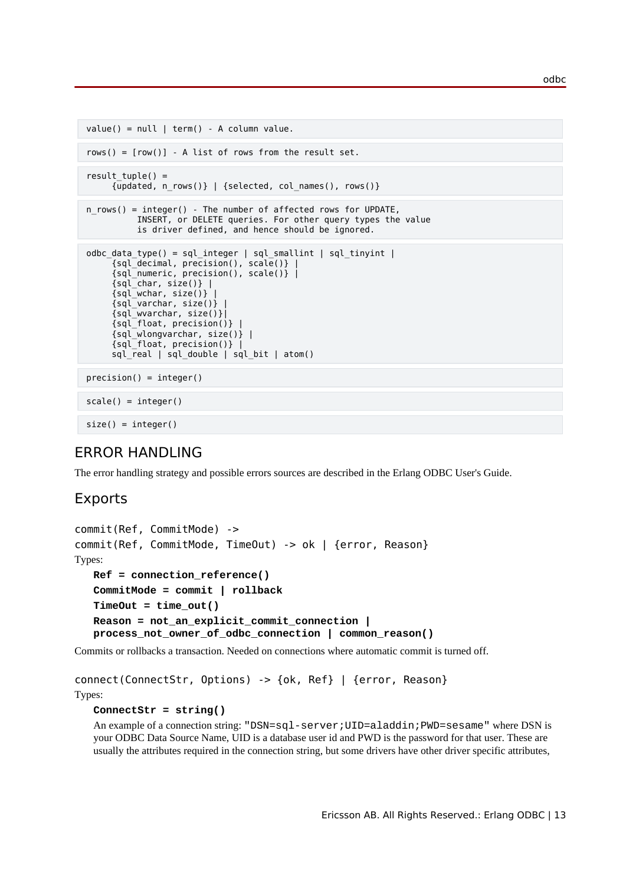```
value() = null \mid term() - A column value.rows() = [row()] - A list of rows from the result set.result tuple() = {updated, n_rows()} | {selected, col_names(), rows()} 
n rows() = integer() - The number of affected rows for UPDATE,
           INSERT, or DELETE queries. For other query types the value
           is driver defined, and hence should be ignored. 
 odbc_data_type() = sql_integer | sql_smallint | sql_tinyint |
      {sql_decimal, precision(), scale()} |
      {sql_numeric, precision(), scale()} |
     {sql\_char, size()} |
     {sqi<sub>wchar, size()}</sub>
     {sqi varchar, size()} |
      {sql_wvarchar, size()}|
      {sql_float, precision()} |
      {sql_wlongvarchar, size()} |
      {sql_float, precision()} |
      sql_real | sql_double | sql_bit | atom()
precision() = integer()scale() = integer()size() = integer()
```
# ERROR HANDLING

The error handling strategy and possible errors sources are described in the Erlang ODBC User's Guide.

# Exports

```
commit(Ref, CommitMode) ->
commit(Ref, CommitMode, TimeOut) -> ok | {error, Reason}
Types:
  Ref = connection_reference()
   CommitMode = commit | rollback
   TimeOut = time_out()
  Reason = not_an_explicit_commit_connection |
  process_not_owner_of_odbc_connection | common_reason()
```
Commits or rollbacks a transaction. Needed on connections where automatic commit is turned off.

```
connect(ConnectStr, Options) -> {ok, Ref} | {error, Reason}
Types:
```
#### **ConnectStr = string()**

An example of a connection string: "DSN=sql-server;UID=aladdin;PWD=sesame" where DSN is your ODBC Data Source Name, UID is a database user id and PWD is the password for that user. These are usually the attributes required in the connection string, but some drivers have other driver specific attributes,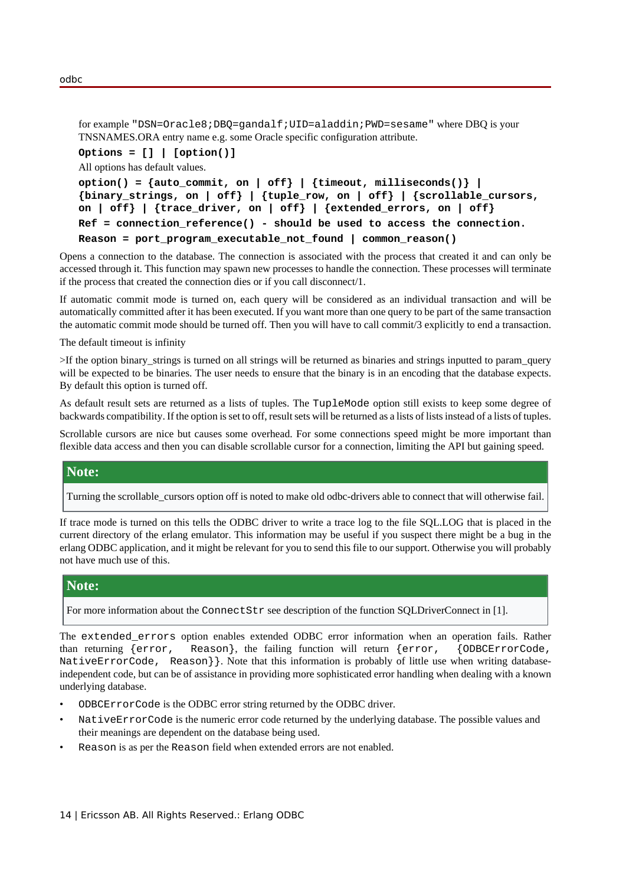for example "DSN=Oracle8;DBQ=gandalf;UID=aladdin;PWD=sesame" where DBQ is your TNSNAMES.ORA entry name e.g. some Oracle specific configuration attribute.

```
Options = [] | [option()]
```
All options has default values.

```
option() = {auto_commit, on | off} | {timeout, milliseconds()} |
{binary_strings, on | off} | {tuple_row, on | off} | {scrollable_cursors,
on | off} | {trace_driver, on | off} | {extended_errors, on | off}
Ref = connection_reference() - should be used to access the connection.
Reason = port_program_executable_not_found | common_reason()
```
Opens a connection to the database. The connection is associated with the process that created it and can only be accessed through it. This function may spawn new processes to handle the connection. These processes will terminate if the process that created the connection dies or if you call disconnect/1.

If automatic commit mode is turned on, each query will be considered as an individual transaction and will be automatically committed after it has been executed. If you want more than one query to be part of the same transaction the automatic commit mode should be turned off. Then you will have to call commit/3 explicitly to end a transaction.

The default timeout is infinity

>If the option binary\_strings is turned on all strings will be returned as binaries and strings inputted to param\_query will be expected to be binaries. The user needs to ensure that the binary is in an encoding that the database expects. By default this option is turned off.

As default result sets are returned as a lists of tuples. The TupleMode option still exists to keep some degree of backwards compatibility. If the option is set to off, result sets will be returned as a lists of lists instead of a lists of tuples.

Scrollable cursors are nice but causes some overhead. For some connections speed might be more important than flexible data access and then you can disable scrollable cursor for a connection, limiting the API but gaining speed.

#### **Note:**

Turning the scrollable\_cursors option off is noted to make old odbc-drivers able to connect that will otherwise fail.

If trace mode is turned on this tells the ODBC driver to write a trace log to the file SQL.LOG that is placed in the current directory of the erlang emulator. This information may be useful if you suspect there might be a bug in the erlang ODBC application, and it might be relevant for you to send this file to our support. Otherwise you will probably not have much use of this.

#### **Note:**

For more information about the ConnectStr see description of the function SQLDriverConnect in [1].

The extended\_errors option enables extended ODBC error information when an operation fails. Rather than returning {error, Reason}, the failing function will return {error, {ODBCErrorCode, NativeErrorCode, Reason}}. Note that this information is probably of little use when writing databaseindependent code, but can be of assistance in providing more sophisticated error handling when dealing with a known underlying database.

- ODBCErrorCode is the ODBC error string returned by the ODBC driver.
- NativeErrorCode is the numeric error code returned by the underlying database. The possible values and their meanings are dependent on the database being used.
- Reason is as per the Reason field when extended errors are not enabled.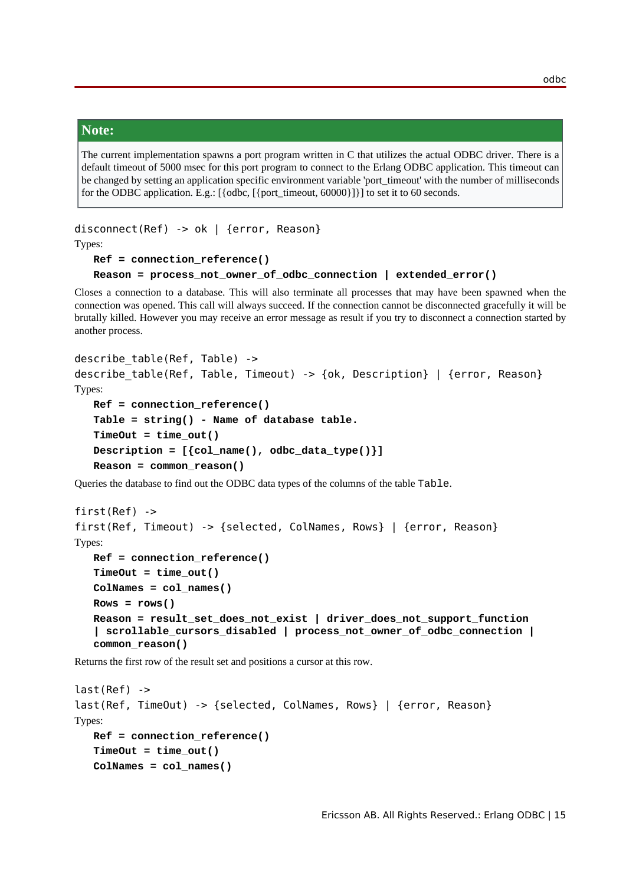#### **Note:**

The current implementation spawns a port program written in C that utilizes the actual ODBC driver. There is a default timeout of 5000 msec for this port program to connect to the Erlang ODBC application. This timeout can be changed by setting an application specific environment variable 'port\_timeout' with the number of milliseconds for the ODBC application. E.g.: [{odbc, [{port\_timeout, 60000}]}] to set it to 60 seconds.

```
disconnect(Ref) -> ok | {error, Reason}
```
Types:

```
Ref = connection_reference()
Reason = process_not_owner_of_odbc_connection | extended_error()
```
Closes a connection to a database. This will also terminate all processes that may have been spawned when the connection was opened. This call will always succeed. If the connection cannot be disconnected gracefully it will be brutally killed. However you may receive an error message as result if you try to disconnect a connection started by another process.

```
describe table(Ref, Table) ->
describe table(Ref, Table, Timeout) -> {ok, Description} | {error, Reason}
Types:
  Ref = connection_reference()
   Table = string() - Name of database table.
   TimeOut = time_out()
  Description = [{col_name(), odbc_data_type()}]
   Reason = common_reason()
```
Queries the database to find out the ODBC data types of the columns of the table Table.

```
first(Ref) ->
first(Ref, Timeout) -> {selected, ColNames, Rows} | {error, Reason}
Types:
  Ref = connection_reference()
   TimeOut = time_out()
   ColNames = col_names()
  Rows = rows()
   Reason = result_set_does_not_exist | driver_does_not_support_function
   | scrollable_cursors_disabled | process_not_owner_of_odbc_connection |
   common_reason()
```
Returns the first row of the result set and positions a cursor at this row.

```
last(Ref) ->
last(Ref, TimeOut) -> {selected, ColNames, Rows} | {error, Reason}
Types:
   Ref = connection_reference()
   TimeOut = time_out()
   ColNames = col_names()
```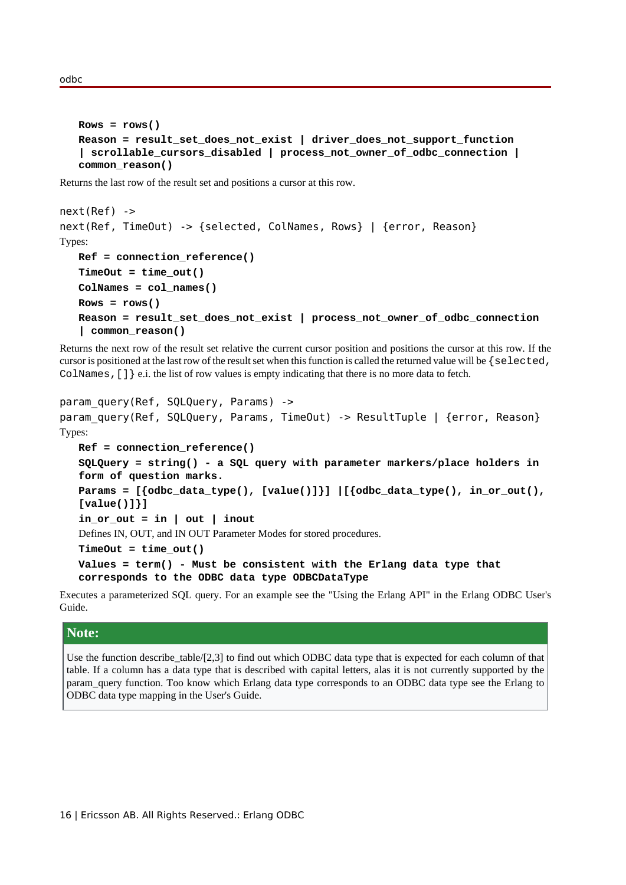odbc

```
Rows = rows()
Reason = result_set_does_not_exist | driver_does_not_support_function
| scrollable_cursors_disabled | process_not_owner_of_odbc_connection |
common_reason()
```
Returns the last row of the result set and positions a cursor at this row.

```
next(Ref) ->
next(Ref, TimeOut) -> {selected, ColNames, Rows} | {error, Reason}
Types:
   Ref = connection_reference()
   TimeOut = time_out()
   ColNames = col_names()
   Rows = rows()
   Reason = result_set_does_not_exist | process_not_owner_of_odbc_connection
   | common_reason()
```
Returns the next row of the result set relative the current cursor position and positions the cursor at this row. If the cursor is positioned at the last row of the result set when this function is called the returned value will be {selected, ColNames,  $[ ] \}$  e.i. the list of row values is empty indicating that there is no more data to fetch.

```
param query(Ref, SQLQuery, Params) ->
param query(Ref, SQLQuery, Params, TimeOut) -> ResultTuple | {error, Reason}
Types:
```

```
Ref = connection_reference()
SQLQuery = string() - a SQL query with parameter markers/place holders in
form of question marks.
Params = [{odbc_data_type(), [value()]}] |[{odbc_data_type(), in_or_out(),
[value()]}]
in_or_out = in | out | inout
Defines IN, OUT, and IN OUT Parameter Modes for stored procedures.
TimeOut = time_out()
Values = term() - Must be consistent with the Erlang data type that
```
**corresponds to the ODBC data type ODBCDataType**

Executes a parameterized SQL query. For an example see the "Using the Erlang API" in the Erlang ODBC User's Guide.

#### **Note:**

Use the function describe\_table/[2,3] to find out which ODBC data type that is expected for each column of that table. If a column has a data type that is described with capital letters, alas it is not currently supported by the param\_query function. Too know which Erlang data type corresponds to an ODBC data type see the Erlang to ODBC data type mapping in the User's Guide.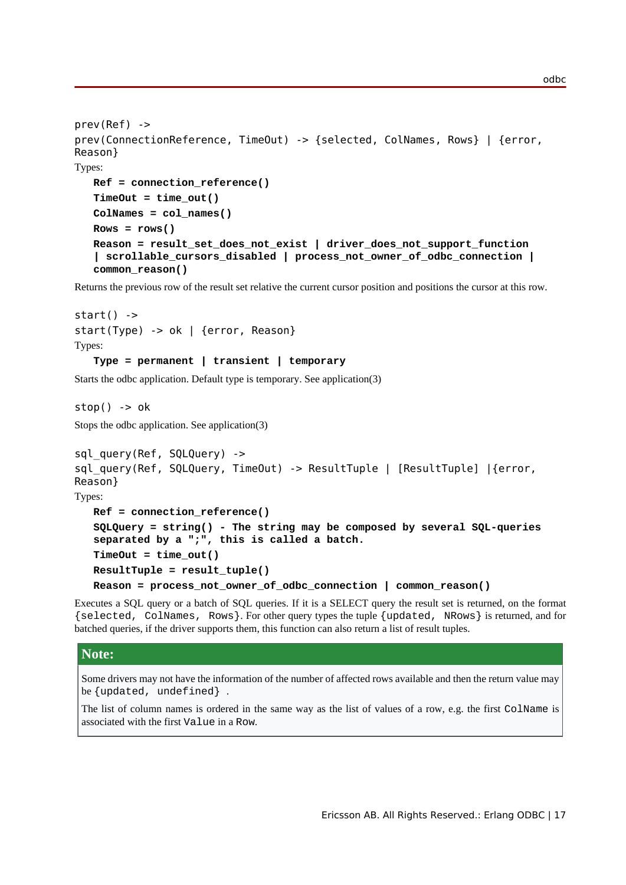```
prev(Ref) ->
prev(ConnectionReference, TimeOut) -> {selected, ColNames, Rows} | {error,
Reason}
Types:
  Ref = connection_reference()
   TimeOut = time_out()
   ColNames = col_names()
  Rows = rows()
  Reason = result_set_does_not_exist | driver_does_not_support_function
   | scrollable_cursors_disabled | process_not_owner_of_odbc_connection |
   common_reason()
```
Returns the previous row of the result set relative the current cursor position and positions the cursor at this row.

```
start() ->
start(Type) -> ok | {error, Reason}
Types:
   Type = permanent | transient | temporary
```
Starts the odbc application. Default type is temporary. See application(3)

 $stop()$  ->  $ok$ 

Stops the odbc application. See application(3)

```
sql_query(Ref, SQLQuery) ->
sql query(Ref, SQLQuery, TimeOut) -> ResultTuple | [ResultTuple] |{error,
Reason}
Types:
  Ref = connection_reference()
   SQLQuery = string() - The string may be composed by several SQL-queries
   separated by a ";", this is called a batch.
   TimeOut = time_out()
  ResultTuple = result_tuple()
  Reason = process_not_owner_of_odbc_connection | common_reason()
```
Executes a SQL query or a batch of SQL queries. If it is a SELECT query the result set is returned, on the format {selected, ColNames, Rows}. For other query types the tuple {updated, NRows} is returned, and for batched queries, if the driver supports them, this function can also return a list of result tuples.

#### **Note:**

Some drivers may not have the information of the number of affected rows available and then the return value may be {updated, undefined} .

The list of column names is ordered in the same way as the list of values of a row, e.g. the first ColName is associated with the first Value in a Row.